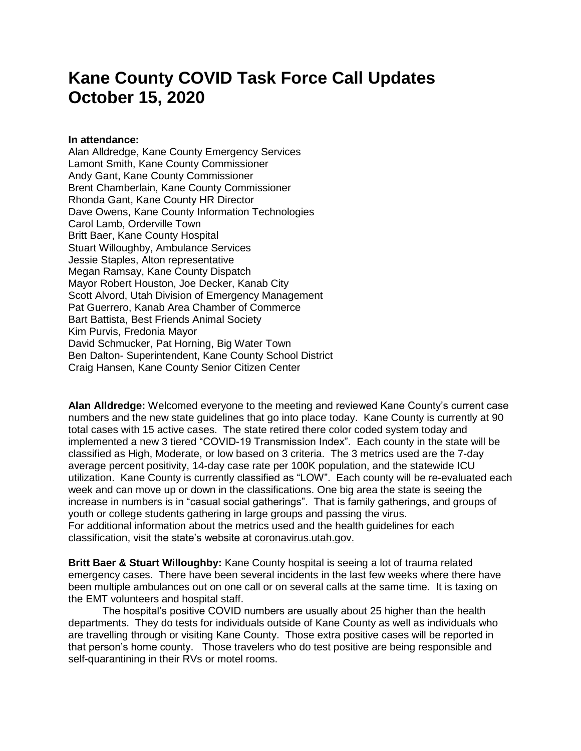## **Kane County COVID Task Force Call Updates October 15, 2020**

## **In attendance:**

Alan Alldredge, Kane County Emergency Services Lamont Smith, Kane County Commissioner Andy Gant, Kane County Commissioner Brent Chamberlain, Kane County Commissioner Rhonda Gant, Kane County HR Director Dave Owens, Kane County Information Technologies Carol Lamb, Orderville Town Britt Baer, Kane County Hospital Stuart Willoughby, Ambulance Services Jessie Staples, Alton representative Megan Ramsay, Kane County Dispatch Mayor Robert Houston, Joe Decker, Kanab City Scott Alvord, Utah Division of Emergency Management Pat Guerrero, Kanab Area Chamber of Commerce Bart Battista, Best Friends Animal Society Kim Purvis, Fredonia Mayor David Schmucker, Pat Horning, Big Water Town Ben Dalton- Superintendent, Kane County School District Craig Hansen, Kane County Senior Citizen Center

**Alan Alldredge:** Welcomed everyone to the meeting and reviewed Kane County's current case numbers and the new state guidelines that go into place today. Kane County is currently at 90 total cases with 15 active cases. The state retired there color coded system today and implemented a new 3 tiered "COVID-19 Transmission Index". Each county in the state will be classified as High, Moderate, or low based on 3 criteria. The 3 metrics used are the 7-day average percent positivity, 14-day case rate per 100K population, and the statewide ICU utilization. Kane County is currently classified as "LOW". Each county will be re-evaluated each week and can move up or down in the classifications. One big area the state is seeing the increase in numbers is in "casual social gatherings". That is family gatherings, and groups of youth or college students gathering in large groups and passing the virus. For additional information about the metrics used and the health guidelines for each classification, visit the state's website at coronavirus.utah.gov.

**Britt Baer & Stuart Willoughby:** Kane County hospital is seeing a lot of trauma related emergency cases. There have been several incidents in the last few weeks where there have been multiple ambulances out on one call or on several calls at the same time. It is taxing on the EMT volunteers and hospital staff.

The hospital's positive COVID numbers are usually about 25 higher than the health departments. They do tests for individuals outside of Kane County as well as individuals who are travelling through or visiting Kane County. Those extra positive cases will be reported in that person's home county. Those travelers who do test positive are being responsible and self-quarantining in their RVs or motel rooms.